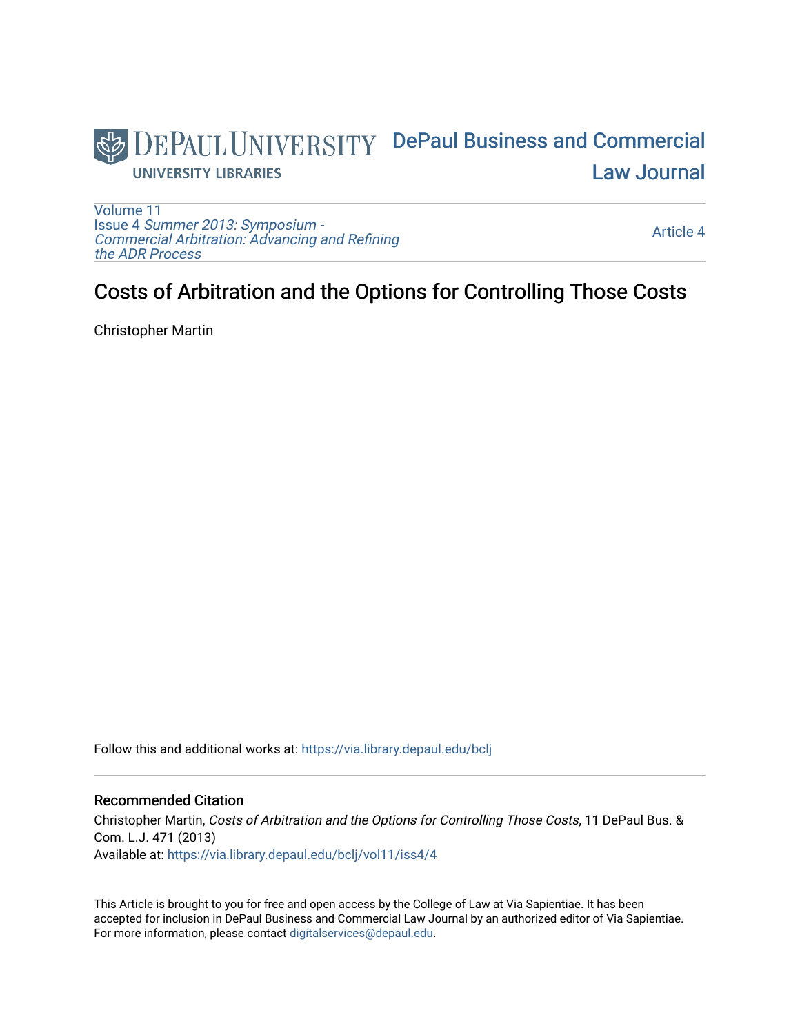

[Volume 11](https://via.library.depaul.edu/bclj/vol11) Issue 4 [Summer 2013: Symposium -](https://via.library.depaul.edu/bclj/vol11/iss4)  [Commercial Arbitration: Advancing and Refining](https://via.library.depaul.edu/bclj/vol11/iss4)  [the ADR Process](https://via.library.depaul.edu/bclj/vol11/iss4) 

[Article 4](https://via.library.depaul.edu/bclj/vol11/iss4/4) 

# Costs of Arbitration and the Options for Controlling Those Costs

Christopher Martin

Follow this and additional works at: [https://via.library.depaul.edu/bclj](https://via.library.depaul.edu/bclj?utm_source=via.library.depaul.edu%2Fbclj%2Fvol11%2Fiss4%2F4&utm_medium=PDF&utm_campaign=PDFCoverPages) 

### Recommended Citation

Christopher Martin, Costs of Arbitration and the Options for Controlling Those Costs, 11 DePaul Bus. & Com. L.J. 471 (2013) Available at: [https://via.library.depaul.edu/bclj/vol11/iss4/4](https://via.library.depaul.edu/bclj/vol11/iss4/4?utm_source=via.library.depaul.edu%2Fbclj%2Fvol11%2Fiss4%2F4&utm_medium=PDF&utm_campaign=PDFCoverPages) 

This Article is brought to you for free and open access by the College of Law at Via Sapientiae. It has been accepted for inclusion in DePaul Business and Commercial Law Journal by an authorized editor of Via Sapientiae. For more information, please contact [digitalservices@depaul.edu.](mailto:digitalservices@depaul.edu)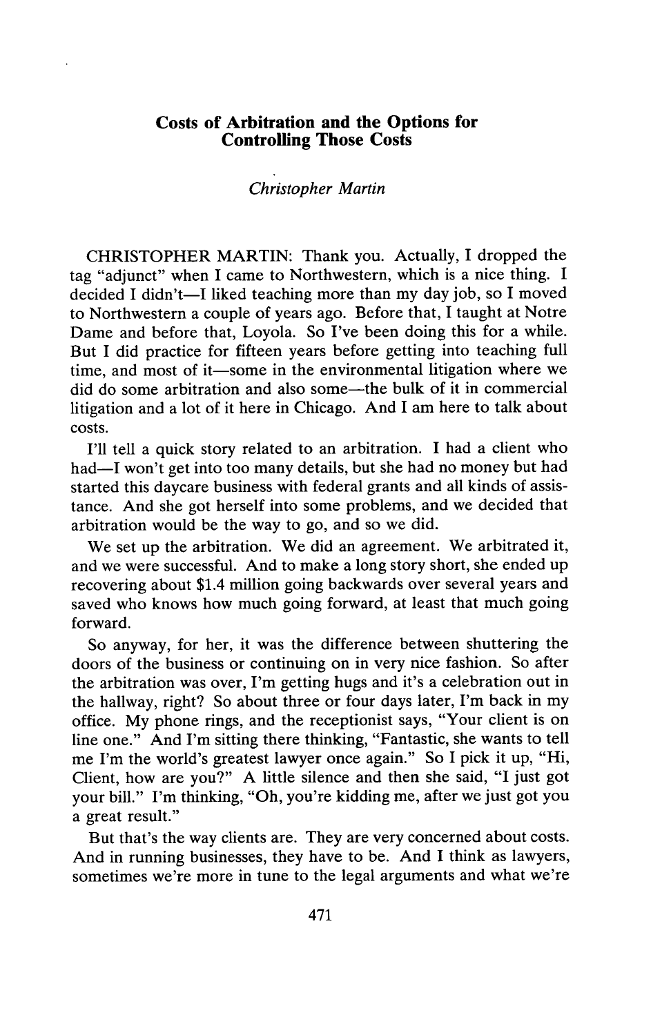#### **Costs of Arbitration and the Options for Controlling Those Costs**

#### *Christopher Martin*

CHRISTOPHER MARTIN: Thank you. Actually, **I** dropped the tag "adjunct" when I came to Northwestern, which is a nice thing. **I** decided I didn't-I liked teaching more than my day **job,** so **I** moved to Northwestern a couple of years ago. Before that, I taught at Notre Dame and before that, Loyola. So I've been doing this for a while. But **I** did practice for fifteen years before getting into teaching full time, and most of it—some in the environmental litigation where we did do some arbitration and also some-the bulk of it in commercial litigation and a lot of it here in Chicago. And **I** am here to talk about costs.

**I'll** tell a quick story related to an arbitration. **I** had a client who had—I won't get into too many details, but she had no money but had started this daycare business with federal grants and all kinds of assistance. And she got herself into some problems, and we decided that arbitration would be the way to go, and so we did.

We set up the arbitration. We did an agreement. We arbitrated it, and we were successful. And to make a long story short, she ended up recovering about \$1.4 million going backwards over several years and saved who knows how much going forward, at least that much going forward.

So anyway, for her, it was the difference between shuttering the doors of the business or continuing on in very nice fashion. So after the arbitration was over, I'm getting hugs and it's a celebration out in the hallway, right? So about three or four days later, I'm back in my office. **My** phone rings, and the receptionist says, "Your client is on line one." And I'm sitting there thinking, "Fantastic, she wants to tell me I'm the world's greatest lawyer once again." So I pick it up, "Hi, Client, how are you?" **A** little silence and then she said, **"I** just got your bill." I'm thinking, "Oh, you're kidding me, after we just got you a great result."

But that's the way clients are. They are very concerned about costs. And in running businesses, they have to be. And **I** think as lawyers, sometimes we're more in tune to the legal arguments and what we're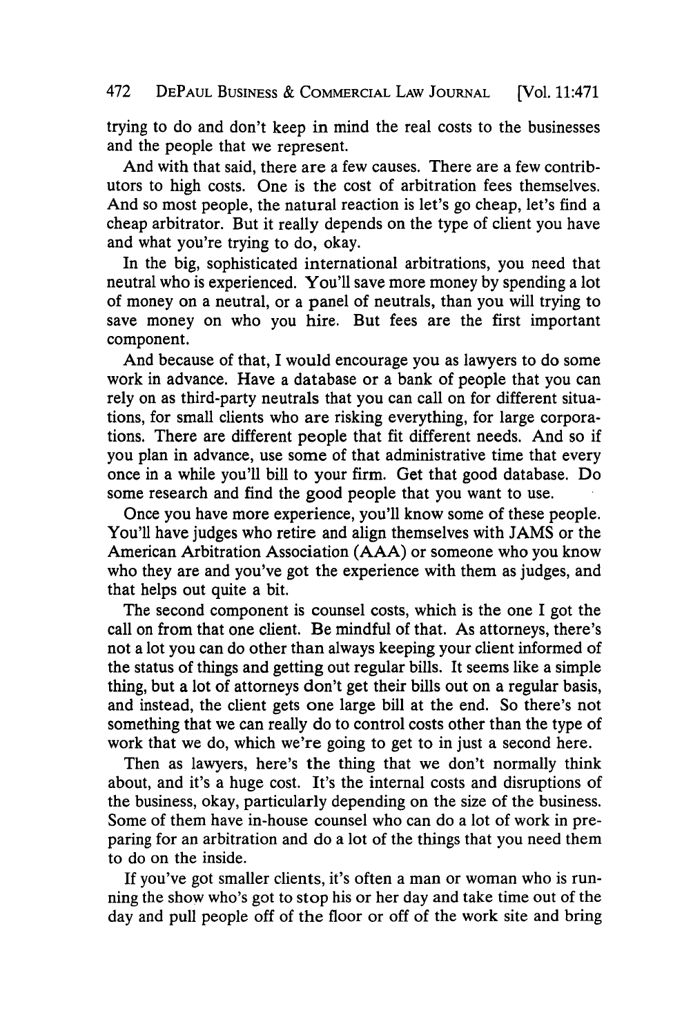trying to do and don't keep in mind the real costs to the businesses and the people that we represent.

And with that said, there are a few causes. There are a few contributors to high costs. One is the cost of arbitration fees themselves. And so most people, the natural reaction is let's go cheap, let's find a cheap arbitrator. But it really depends on the type of client you have and what you're trying to do, okay.

In the big, sophisticated international arbitrations, you need that neutral who is experienced. You'll save more money **by** spending a lot of money on a neutral, or a panel of neutrals, than you will trying to save money on who you hire. But fees are the first important component.

And because of that, I would encourage you as lawyers to do some work in advance. Have a database or a bank of people that you can rely on as third-party neutrals that you can call on for different situations, for small clients who are risking everything, for large corporations. There are different people that fit different needs. And so if you plan in advance, use some of that administrative time that every once in a while you'll bill to your firm. Get that good database. Do some research and find the good people that **you** want to use.

Once you have more experience, you'll know some of these people. You'll have judges who retire and align themselves with **JAMS** or the American Arbitration Association **(AAA)** or someone who you know who they are and you've got the experience with them as judges, and that helps out quite a bit.

The second component is counsel costs, which is the one I got the call on from that one client. Be mindful of that. As attorneys, there's not a lot you can do other than always keeping your client informed of the status of things and getting out regular bills. It seems like a simple thing, but a lot of attorneys don't get their bills out on a regular basis, and instead, the client gets one large **bill** at the end. So there's not something that we can really do to control costs other than the type of work that we do, which we're going to get to in just a second here.

Then as lawyers, here's the thing that we don't normally think about, and it's a huge cost. It's the internal costs and disruptions of the business, okay, particularly depending on the size of the business. Some of them have in-house counsel who can do a lot of work in preparing for an arbitration and do a lot of the things that you need them to do on the inside.

**If** you've got smaller clients, it's often a man or woman who is running the show who's got to stop his or her day and take time out of the day and pull people off of the floor or off of the work site and bring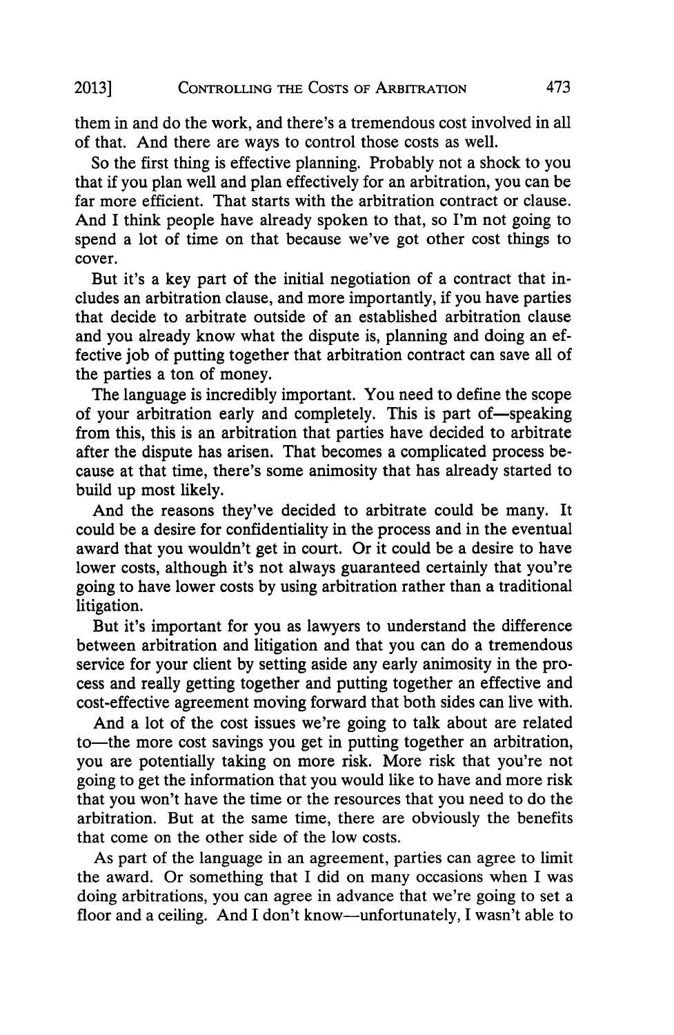## CONTROLLING **THE COSTS** OF ARBITRATION **2013]** 473

them in and do the work, and there's a tremendous cost involved in all of that. And there are ways to control those costs as well.

So the first thing is effective planning. Probably not a shock to you that if you plan well and plan effectively for an arbitration, you can be far more efficient. That starts with the arbitration contract or clause. And I think people have already spoken to that, so I'm not going to spend a lot of time on that because we've got other cost things to cover.

But it's a key part of the initial negotiation of a contract that includes an arbitration clause, and more importantly, if you have parties that decide to arbitrate outside of an established arbitration clause and you already know what the dispute is, planning and doing an effective **job** of putting together that arbitration contract can save all of the parties a ton of money.

The language is incredibly important. You need to define the scope of your arbitration early and completely. This is part of-speaking from this, this is an arbitration that parties have decided to arbitrate after the dispute has arisen. That becomes a complicated process because at that time, there's some animosity that has already started to build up most likely.

And the reasons they've decided to arbitrate could be many. It could be a desire for confidentiality in the process and in the eventual award that you wouldn't get in court. Or it could be a desire to have lower costs, although it's not always guaranteed certainly that you're going to have lower costs **by** using arbitration rather than a traditional litigation.

But it's important for you as lawyers to understand the difference between arbitration and litigation and that you can do a tremendous service for your client **by** setting aside any early animosity in the process and really getting together and putting together an effective and cost-effective agreement moving forward that both sides can live with.

And a lot of the cost issues we're going to talk about are related to—the more cost savings you get in putting together an arbitration, you are potentially taking on more risk. More risk that you're not going to get the information that you would like to have and more risk that you won't have the time or the resources that you need to do the arbitration. But at the same time, there are obviously the benefits that come on the other side of the low costs.

As part of the language in an agreement, parties can agree to limit the award. Or something that I did on many occasions when **I** was doing arbitrations, you can agree in advance that we're going to set a floor and a ceiling. And I don't know-unfortunately, I wasn't able to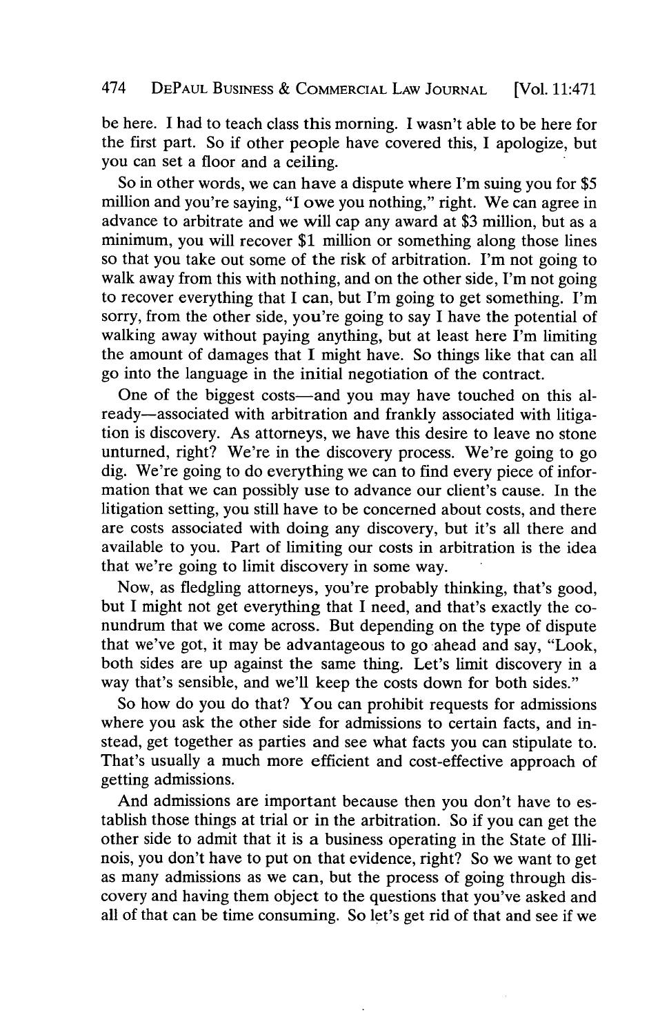be here. **I** had to teach class this morning. **I** wasn't able to be here for the first part. So if other people have covered this, **I** apologize, but you can set a floor and a ceiling.

So in other words, we can have a dispute where I'm suing you for **\$5** million and you're saying, **"I** owe you nothing," right. We can agree in advance to arbitrate and we will cap any award at **\$3** million, but as a minimum, you will recover **\$1** million or something along those lines so that you take out some of the risk of arbitration. I'm not going to walk away from this with nothing, and on the other side, I'm not going to recover everything that **I** can, but I'm going to get something. I'm sorry, from the other side, you're going to say **I** have the potential of walking away without paying anything, but at least here I'm limiting the amount of damages that **I** might have. So things like that can all go into the language in the initial negotiation of the contract.

One of the biggest costs—and you may have touched on this already-associated with arbitration and frankly associated with litigation is discovery. As attorneys, we have this desire to leave no stone unturned, right? We're in the discovery process. We're going to go dig. We're going to do everything we can to find every piece of information that we can possibly use to advance our client's cause. In the litigation setting, you still have to be concerned about costs, and there are costs associated with doing any discovery, but it's all there and available to you. Part of limiting our costs in arbitration is the idea that we're going to limit discovery in some way.

Now, as fledgling attorneys, you're probably thinking, that's good, but I might not get everything that I need, and that's exactly the conundrum that we come across. But depending on the type of dispute that we've got, it may be advantageous to go ahead and say, "Look, both sides are up against the same thing. Let's limit discovery in a way that's sensible, and we'll keep the costs down for both sides."

So how do you do that? You can prohibit requests for admissions where you ask the other side for admissions to certain facts, and instead, get together as parties and see what facts you can stipulate to. That's usually a much more efficient and cost-effective approach of getting admissions.

And admissions are important because then you don't have to establish those things at trial or in the arbitration. So if you can get the other side to admit that it is a business operating in the State of Illinois, you don't have to put on that evidence, right? So we want to get as many admissions as we can, but the process of going through discovery and having them object to the questions that you've asked and all of that can be time consuming. So let's get rid of that and see if we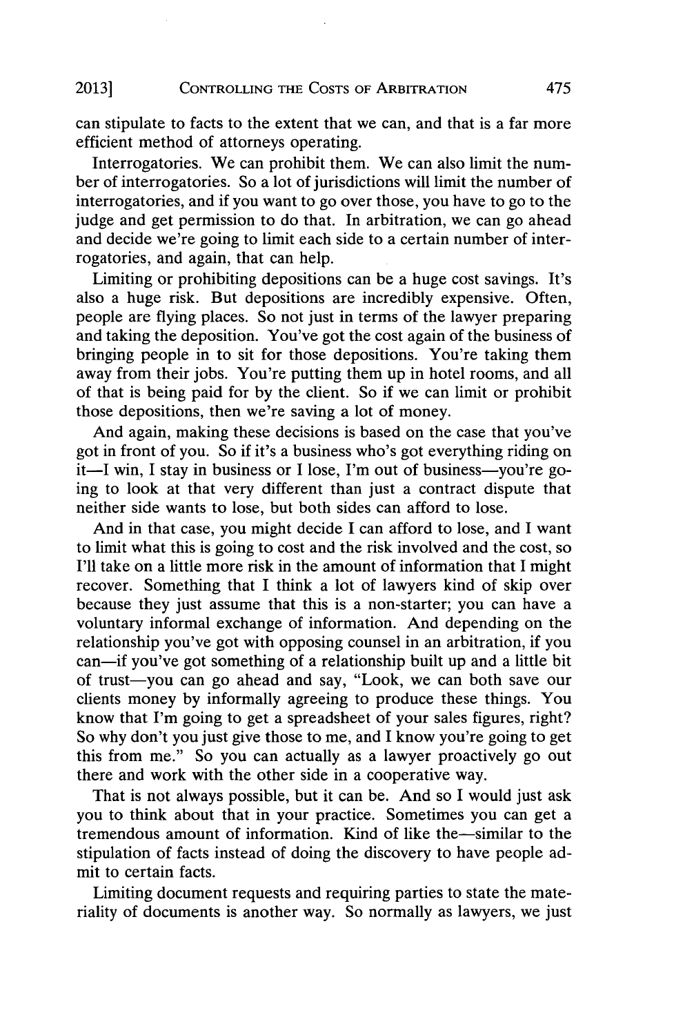#### 2013] CONTROLLING THE COSTS OF ARBITRATION 475

can stipulate to facts to the extent that we can, and that is a far more efficient method of attorneys operating.

Interrogatories. We can prohibit them. We can also limit the number of interrogatories. So a lot of jurisdictions will limit the number of interrogatories, and if you want to go over those, you have to go to the judge and get permission to do that. In arbitration, we can go ahead and decide we're going to limit each side to a certain number of interrogatories, and again, that can help.

Limiting or prohibiting depositions can be a huge cost savings. It's also a huge risk. But depositions are incredibly expensive. Often, people are flying places. So not just in terms of the lawyer preparing and taking the deposition. You've got the cost again of the business of bringing people in to sit for those depositions. You're taking them away from their jobs. You're putting them up in hotel rooms, and all of that is being paid for **by** the client. So if we can limit or prohibit those depositions, then we're saving a lot of money.

And again, making these decisions is based on the case that you've got in front of you. So if it's a business who's got everything riding on it-I win, I stay in business or I lose, I'm out of business-you're going to look at that very different than just a contract dispute that neither side wants to lose, but both sides can afford to lose.

And in that case, you might decide **I** can afford to lose, and **I** want to limit what this is going to cost and the risk involved and the cost, so **I'll** take on a little more risk in the amount of information that **I** might recover. Something that **I** think a lot of lawyers kind of skip over because they just assume that this is a non-starter; you can have a voluntary informal exchange of information. And depending on the relationship you've got with opposing counsel in an arbitration, if you can-if you've got something of a relationship built up and a little bit of trust-you can go ahead and say, "Look, we can both save our clients money **by** informally agreeing to produce these things. You know that I'm going to get a spreadsheet of your sales figures, right? So why don't you just give those to me, and **I** know you're going to get this from me." So you can actually as a lawyer proactively go out there and work with the other side in a cooperative way.

That is not always possible, but it can be. And so **I** would just ask you to think about that in your practice. Sometimes you can get a tremendous amount of information. Kind of like the-similar to the stipulation of facts instead of doing the discovery to have people admit to certain facts.

Limiting document requests and requiring parties to state the materiality of documents is another way. So normally as lawyers, we just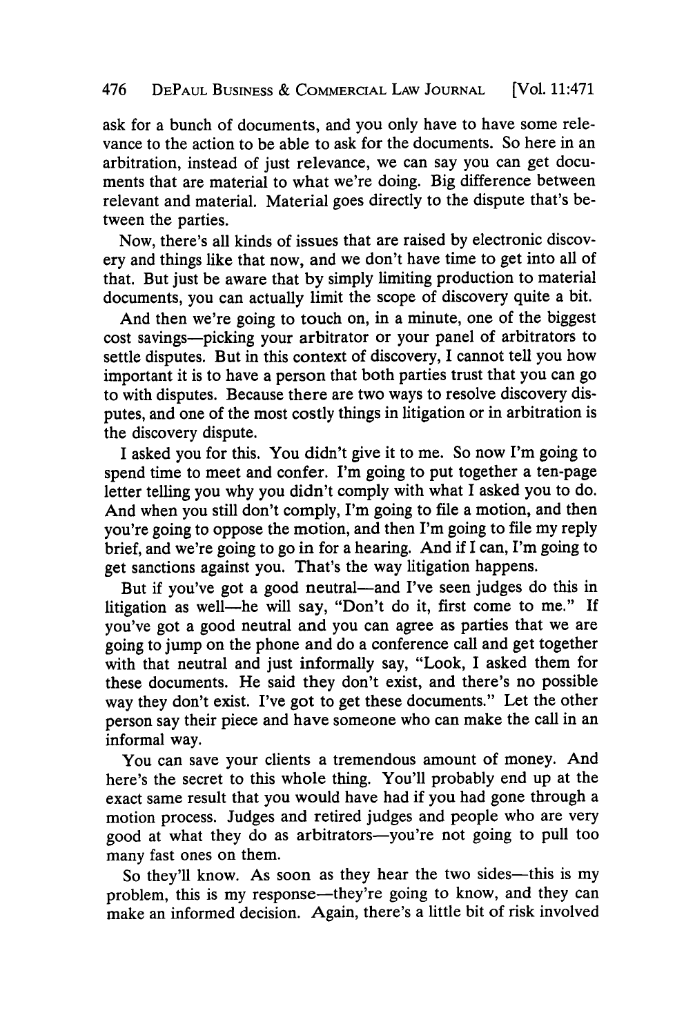#### 476 **DEPAUL BUSINESS &** COMMERCIAL LAw **JOURNAL** [Vol. 11:471

ask for a bunch of documents, and you only have to have some relevance to the action to be able to ask for the documents. So here in an arbitration, instead of just relevance, we can say you can get documents that are material to what we're doing. Big difference between relevant and material. Material goes directly to the dispute that's between the parties.

Now, there's all kinds of issues that are raised **by** electronic discovery and things like that now, and we don't have time to get into all of that. But just be aware that **by** simply limiting production to material documents, you can actually limit the scope of discovery quite a bit.

And then we're going to touch on, in a minute, one of the biggest cost savings-picking your arbitrator or your panel of arbitrators to settle disputes. But in this context of discovery, I cannot tell you how important it is to have a person that both parties trust that you can go to with disputes. Because there are two ways to resolve discovery disputes, and one of the most costly things in litigation or in arbitration is the discovery dispute.

I asked you for this. You didn't give it to me. So now I'm going to spend time to meet and confer. I'm going to put together a ten-page letter telling you why you didn't comply with what I asked you to do. And when you still don't comply, I'm going to file a motion, and then you're going to oppose the motion, and then I'm going to file my reply brief, and we're going to go in for a hearing. And if I can, I'm going to get sanctions against you. That's the way litigation happens.

But if you've got a good neutral—and I've seen judges do this in litigation as well-he will say, "Don't do it, first come to me." **If** you've got a good neutral and you can agree as parties that we are going to jump on the phone and do a conference call and get together with that neutral and just informally say, "Look, I asked them for these documents. He said they don't exist, and there's no possible way they don't exist. I've got to get these documents." Let the other person say their piece and have someone who can make the call in an informal way.

You can save your clients a tremendous amount of money. And here's the secret to this whole thing. You'll probably end up at the exact same result that you would have had if you had gone through a motion process. Judges and retired judges and people who are very good at what they do as arbitrators-you're not going to pull too many fast ones on them.

So they'll know. As soon as they hear the two sides-this is my problem, this is my response-they're going to know, and they can make an informed decision. Again, there's a little bit of risk involved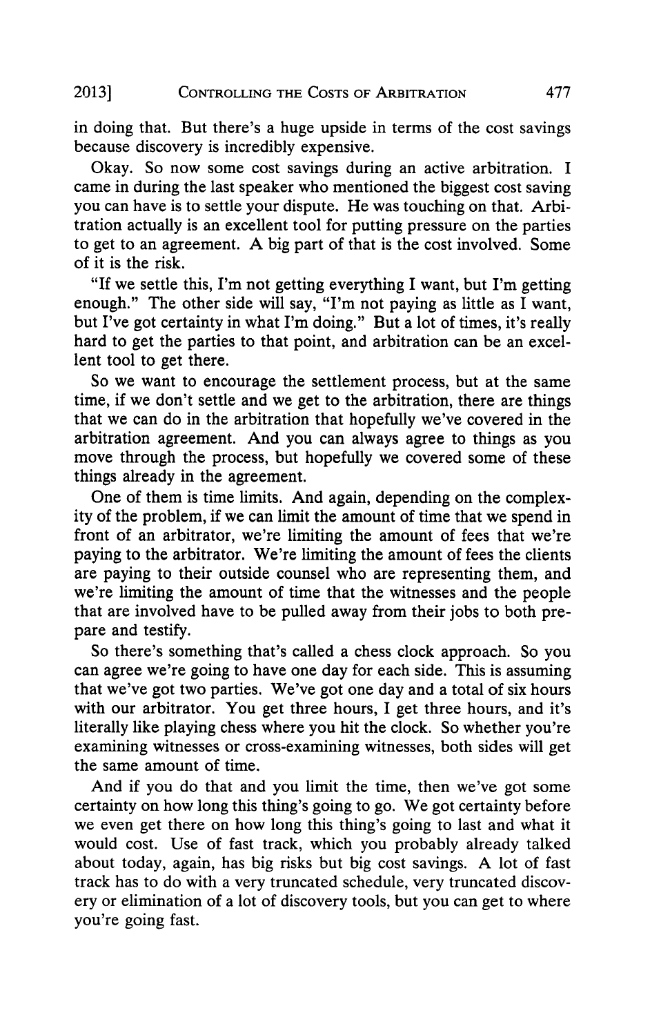in doing that. But there's a huge upside in terms of the cost savings because discovery is incredibly expensive.

Okay. So now some cost savings during an active arbitration. **I** came in during the last speaker who mentioned the biggest cost saving you can have is to settle your dispute. He was touching on that. Arbitration actually is an excellent tool for putting pressure on the parties to get to an agreement. **A** big part of that is the cost involved. Some of it is the risk.

"If we settle this, I'm not getting everything I want, but I'm getting enough." The other side will say, "I'm not paying as little as I want, but I've got certainty in what I'm doing." But a lot of times, it's really hard to get the parties to that point, and arbitration can be an excellent tool to get there.

So we want to encourage the settlement process, but at the same time, if we don't settle and we get to the arbitration, there are things that we can do in the arbitration that hopefully we've covered in the arbitration agreement. And you can always agree to things as you move through the process, but hopefully we covered some of these things already in the agreement.

One of them is time limits. And again, depending on the complexity of the problem, if we can limit the amount of time that we spend in front of an arbitrator, we're limiting the amount of fees that we're paying to the arbitrator. We're limiting the amount of fees the clients are paying to their outside counsel who are representing them, and we're limiting the amount of time that the witnesses and the people that are involved have to be pulled away from their jobs to both prepare and testify.

So there's something that's called a chess clock approach. So you can agree we're going to have one day for each side. This is assuming that we've got two parties. We've got one day and a total of six hours with our arbitrator. You get three hours, I get three hours, and it's literally like playing chess where you hit the clock. So whether you're examining witnesses or cross-examining witnesses, both sides will get the same amount of time.

And if you do that and you limit the time, then we've got some certainty on how long this thing's going to go. We got certainty before we even get there on how long this thing's going to last and what it would cost. Use of fast track, which you probably already talked about today, again, has big risks but big cost savings. **A** lot of fast track has to do with a very truncated schedule, very truncated discovery or elimination of a lot of discovery tools, but you can get to where you're going fast.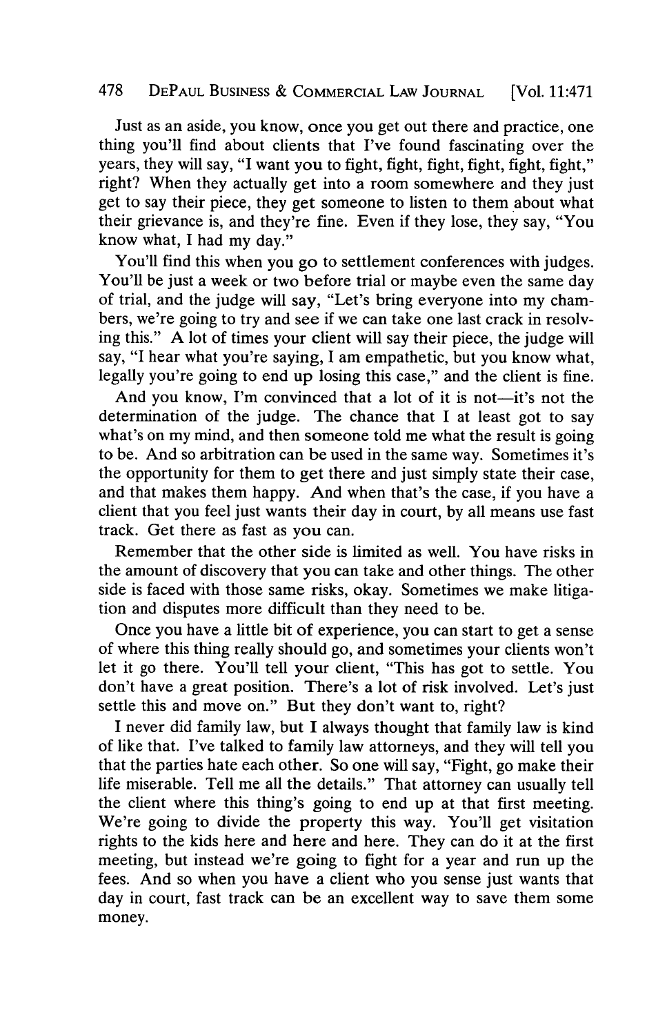### **478 DEPAUL BUSINESS & COMMERCIAL LAW JOURNAL** [Vol. 11:471

Just as an aside, you know, once you get out there and practice, one thing you'll find about clients that I've found fascinating over the years, they will say, "I want you to fight, fight, fight, fight, fight, fight," right? When they actually get into a room somewhere and they just get to say their piece, they get someone to listen to them about what their grievance is, and they're fine. Even if they lose, they say, "You know what, **I** had my day."

You'll find this when you go to settlement conferences with judges. You'll be just a week or two before trial or maybe even the same day of trial, and the judge will say, "Let's bring everyone into my chambers, we're going to try and see if we can take one last crack in resolving this." **A** lot of times your client will say their piece, the judge will say, "I hear what you're saying, **I** am empathetic, but you know what, legally you're going to end up losing this case," and the client is fine.

And you know, I'm convinced that a lot of it is not—it's not the determination of the judge. The chance that I at least got to say what's on my mind, and then someone told me what the result is going to be. And so arbitration can be used in the same way. Sometimes it's the opportunity for them to get there and just simply state their case, and that makes them happy. And when that's the case, if you have a client that you feel just wants their day in court, **by** all means use fast track. Get there as fast as you can.

Remember that the other side is limited as well. You have risks in the amount of discovery that you can take and other things. The other side is faced with those same risks, okay. Sometimes we make litigation and disputes more difficult than they need to be.

Once you have a little bit of experience, you can start to get a sense of where this thing really should go, and sometimes your clients won't let it go there. You'll tell your client, "This has got to settle. You don't have a great position. There's a lot of risk involved. Let's just settle this and move on." But they don't want to, right?

I never did family law, but **I** always thought that family law is kind of like that. I've talked to family law attorneys, and they will tell you that the parties hate each other. So one will say, "Fight, go make their life miserable. Tell me all the details." That attorney can usually tell the client where this thing's going to end up at that first meeting. We're going to divide the property this way. You'll get visitation rights to the kids here and here and here. They can do it at the first meeting, but instead we're going to fight for a year and run up the fees. And so when you have a client who you sense just wants that day in court, fast track can be an excellent way to save them some money.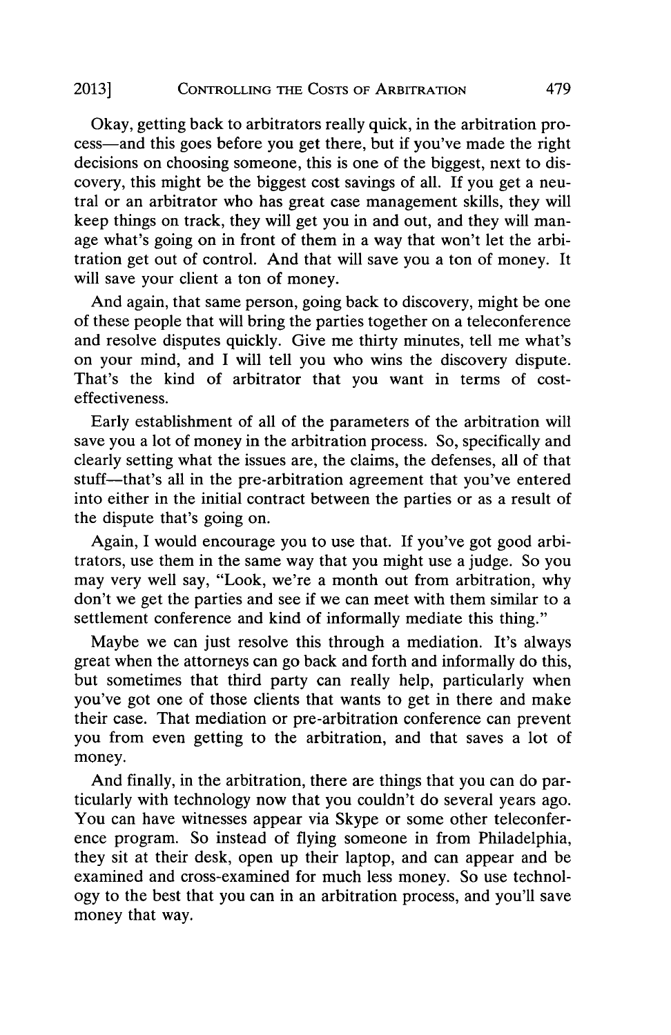Okay, getting back to arbitrators really quick, in the arbitration process-and this goes before you get there, but if you've made the right decisions on choosing someone, this is one of the biggest, next to discovery, this might be the biggest cost savings of all. **If** you get a neutral or an arbitrator who has great case management skills, they will keep things on track, they will get you in and out, and they will manage what's going on in front of them in a way that won't let the arbitration get out of control. And that will save you a ton of money. It will save your client a ton of money.

And again, that same person, going back to discovery, might be one of these people that will bring the parties together on a teleconference and resolve disputes quickly. Give me thirty minutes, tell me what's on your mind, and **I** will tell you who wins the discovery dispute. That's the kind of arbitrator that you want in terms of costeffectiveness.

Early establishment of all of the parameters of the arbitration will save you a lot of money in the arbitration process. So, specifically and clearly setting what the issues are, the claims, the defenses, all of that stuff-that's all in the pre-arbitration agreement that you've entered into either in the initial contract between the parties or as a result of the dispute that's going on.

Again, I would encourage you to use that. If you've got good arbitrators, use them in the same way that you might use a judge. So you may very well say, "Look, we're a month out from arbitration, why don't we get the parties and see if we can meet with them similar to a settlement conference and kind of informally mediate this thing."

Maybe we can just resolve this through a mediation. It's always great when the attorneys can go back and forth and informally do this, but sometimes that third party can really help, particularly when you've got one of those clients that wants to get in there and make their case. That mediation or pre-arbitration conference can prevent you from even getting to the arbitration, and that saves a lot of money.

And finally, in the arbitration, there are things that you can do particularly with technology now that you couldn't do several years ago. You can have witnesses appear via Skype or some other teleconference program. So instead of flying someone in from Philadelphia, they sit at their desk, open up their laptop, and can appear and be examined and cross-examined for much less money. So use technol**ogy** to the best that you can in an arbitration process, and you'll save money that way.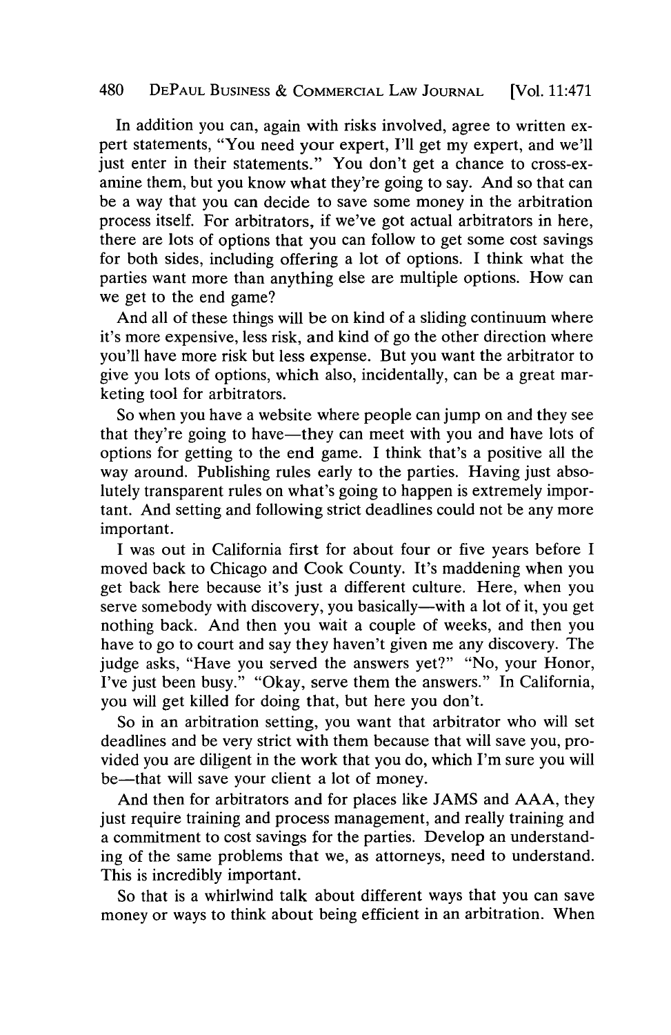#### 480 **DEPAUL BUSINESS & COMMERCIAL LAw JOURNAL** [Vol. 11:471

In addition you can, again with risks involved, agree to written expert statements, "You need your expert, **I'll** get my expert, and we'll just enter in their statements." You don't get a chance to cross-examine them, but you know what they're going to say. And so that can be a way that you can decide to save some money in the arbitration process itself. For arbitrators, if we've got actual arbitrators in here, there are lots of options that you can follow to get some cost savings for both sides, including offering a lot of options. I think what the parties want more than anything else are multiple options. How can we get to the end game?

And all of these things will be on kind of a sliding continuum where it's more expensive, less risk, and kind of go the other direction where you'll have more risk but less expense. But you want the arbitrator to give you lots of options, which also, incidentally, can be a great marketing tool for arbitrators.

So when you have a website where people can jump on and they see that they're going to have—they can meet with you and have lots of options for getting to the end game. **I** think that's a positive all the way around. Publishing rules early to the parties. Having just absolutely transparent rules on what's going to happen is extremely important. And setting and following strict deadlines could not be any more important.

**I** was out in California first for about four or five years before **I** moved back to Chicago and Cook County. It's maddening when you get back here because it's just a different culture. Here, when you serve somebody with discovery, you basically—with a lot of it, you get nothing back. And then you wait a couple of weeks, and then you have to go to court and say they haven't given me any discovery. The judge asks, "Have you served the answers yet?" "No, your Honor, I've just been busy." "Okay, serve them the answers." In California, you will get killed for doing that, but here you don't.

So in an arbitration setting, you want that arbitrator who will set deadlines and be very strict with them because that will save you, provided you are diligent in the work that you do, which I'm sure you will be-that will save your client a lot of money.

And then for arbitrators and for places like **JAMS** and **AAA,** they just require training and process management, and really training and a commitment to cost savings for the parties. Develop an understanding of the same problems that we, as attorneys, need to understand. This is incredibly important.

So that is a whirlwind talk about different ways that you can save money or ways to think about being efficient in an arbitration. When